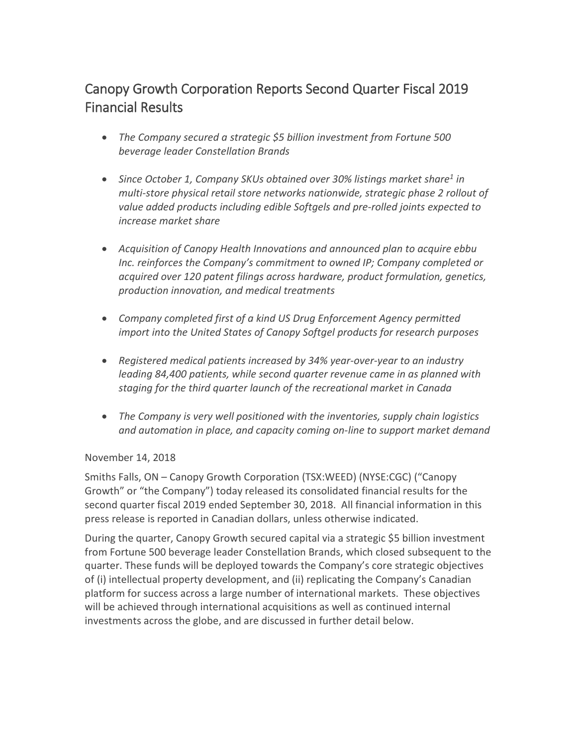# Canopy Growth Corporation Reports Second Quarter Fiscal 2019 Financial Results

- *The Company secured a strategic \$5 billion investment from Fortune 500 beverage leader Constellation Brands*
- Since October 1, Company SKUs obtained over 30% listings market share<sup>1</sup> in *multi-store physical retail store networks nationwide, strategic phase 2 rollout of value added products including edible Softgels and pre-rolled joints expected to increase market share*
- *Acquisition of Canopy Health Innovations and announced plan to acquire ebbu Inc. reinforces the Company's commitment to owned IP; Company completed or acquired over 120 patent filings across hardware, product formulation, genetics, production innovation, and medical treatments*
- *Company completed first of a kind US Drug Enforcement Agency permitted import into the United States of Canopy Softgel products for research purposes*
- *Registered medical patients increased by 34% year-over-year to an industry leading 84,400 patients, while second quarter revenue came in as planned with staging for the third quarter launch of the recreational market in Canada*
- *The Company is very well positioned with the inventories, supply chain logistics and automation in place, and capacity coming on-line to support market demand*

### November 14, 2018

Smiths Falls, ON – Canopy Growth Corporation (TSX:WEED) (NYSE:CGC) ("Canopy Growth" or "the Company") today released its consolidated financial results for the second quarter fiscal 2019 ended September 30, 2018. All financial information in this press release is reported in Canadian dollars, unless otherwise indicated.

During the quarter, Canopy Growth secured capital via a strategic \$5 billion investment from Fortune 500 beverage leader Constellation Brands, which closed subsequent to the quarter. These funds will be deployed towards the Company's core strategic objectives of (i) intellectual property development, and (ii) replicating the Company's Canadian platform for success across a large number of international markets. These objectives will be achieved through international acquisitions as well as continued internal investments across the globe, and are discussed in further detail below.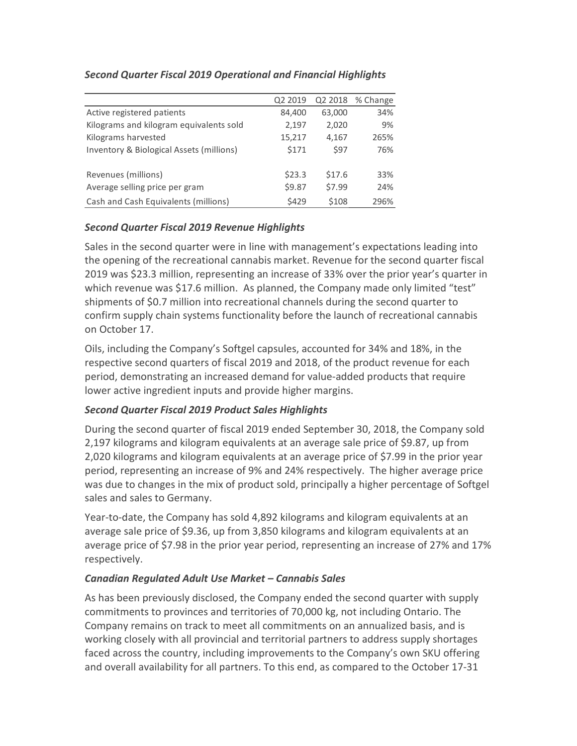|                                          | Q2 2019 | Q2 2018 | % Change |
|------------------------------------------|---------|---------|----------|
| Active registered patients               | 84,400  | 63,000  | 34%      |
| Kilograms and kilogram equivalents sold  | 2,197   | 2,020   | 9%       |
| Kilograms harvested                      | 15,217  | 4,167   | 265%     |
| Inventory & Biological Assets (millions) | \$171   | \$97    | 76%      |
|                                          |         |         |          |
| Revenues (millions)                      | \$23.3  | \$17.6  | 33%      |
| Average selling price per gram           | \$9.87  | \$7.99  | 24%      |
| Cash and Cash Equivalents (millions)     | \$429   | \$108   | 296%     |

### *Second Quarter Fiscal 2019 Operational and Financial Highlights*

#### *Second Quarter Fiscal 2019 Revenue Highlights*

Sales in the second quarter were in line with management's expectations leading into the opening of the recreational cannabis market. Revenue for the second quarter fiscal 2019 was \$23.3 million, representing an increase of 33% over the prior year's quarter in which revenue was \$17.6 million. As planned, the Company made only limited "test" shipments of \$0.7 million into recreational channels during the second quarter to confirm supply chain systems functionality before the launch of recreational cannabis on October 17.

Oils, including the Company's Softgel capsules, accounted for 34% and 18%, in the respective second quarters of fiscal 2019 and 2018, of the product revenue for each period, demonstrating an increased demand for value-added products that require lower active ingredient inputs and provide higher margins.

### *Second Quarter Fiscal 2019 Product Sales Highlights*

During the second quarter of fiscal 2019 ended September 30, 2018, the Company sold 2,197 kilograms and kilogram equivalents at an average sale price of \$9.87, up from 2,020 kilograms and kilogram equivalents at an average price of \$7.99 in the prior year period, representing an increase of 9% and 24% respectively. The higher average price was due to changes in the mix of product sold, principally a higher percentage of Softgel sales and sales to Germany.

Year-to-date, the Company has sold 4,892 kilograms and kilogram equivalents at an average sale price of \$9.36, up from 3,850 kilograms and kilogram equivalents at an average price of \$7.98 in the prior year period, representing an increase of 27% and 17% respectively.

#### *Canadian Regulated Adult Use Market – Cannabis Sales*

As has been previously disclosed, the Company ended the second quarter with supply commitments to provinces and territories of 70,000 kg, not including Ontario. The Company remains on track to meet all commitments on an annualized basis, and is working closely with all provincial and territorial partners to address supply shortages faced across the country, including improvements to the Company's own SKU offering and overall availability for all partners. To this end, as compared to the October 17-31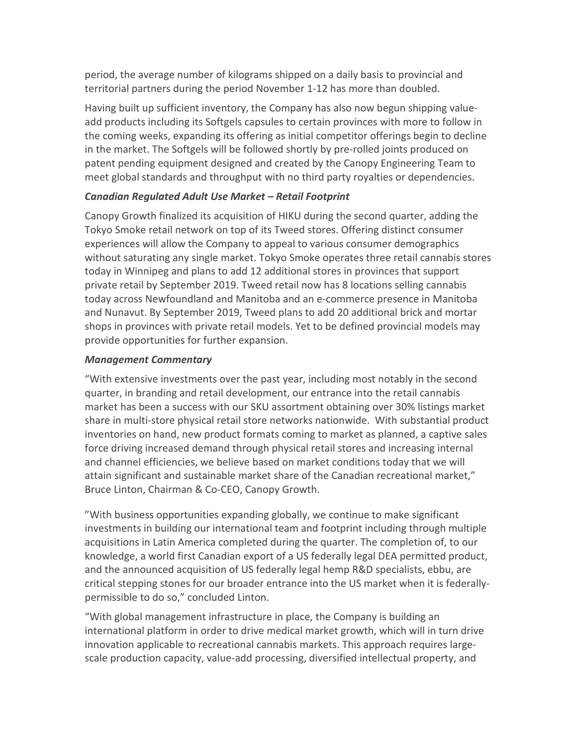period, the average number of kilograms shipped on a daily basis to provincial and territorial partners during the period November 1-12 has more than doubled.

Having built up sufficient inventory, the Company has also now begun shipping valueadd products including its Softgels capsules to certain provinces with more to follow in the coming weeks, expanding its offering as initial competitor offerings begin to decline in the market. The Softgels will be followed shortly by pre-rolled joints produced on patent pending equipment designed and created by the Canopy Engineering Team to meet global standards and throughput with no third party royalties or dependencies.

### *Canadian Regulated Adult Use Market – Retail Footprint*

Canopy Growth finalized its acquisition of HIKU during the second quarter, adding the Tokyo Smoke retail network on top of its Tweed stores. Offering distinct consumer experiences will allow the Company to appeal to various consumer demographics without saturating any single market. Tokyo Smoke operates three retail cannabis stores today in Winnipeg and plans to add 12 additional stores in provinces that support private retail by September 2019. Tweed retail now has 8 locations selling cannabis today across Newfoundland and Manitoba and an e-commerce presence in Manitoba and Nunavut. By September 2019, Tweed plans to add 20 additional brick and mortar shops in provinces with private retail models. Yet to be defined provincial models may provide opportunities for further expansion.

### *Management Commentary*

"With extensive investments over the past year, including most notably in the second quarter, in branding and retail development, our entrance into the retail cannabis market has been a success with our SKU assortment obtaining over 30% listings market share in multi-store physical retail store networks nationwide. With substantial product inventories on hand, new product formats coming to market as planned, a captive sales force driving increased demand through physical retail stores and increasing internal and channel efficiencies, we believe based on market conditions today that we will attain significant and sustainable market share of the Canadian recreational market," Bruce Linton, Chairman & Co-CEO, Canopy Growth.

"With business opportunities expanding globally, we continue to make significant investments in building our international team and footprint including through multiple acquisitions in Latin America completed during the quarter. The completion of, to our knowledge, a world first Canadian export of a US federally legal DEA permitted product, and the announced acquisition of US federally legal hemp R&D specialists, ebbu, are critical stepping stones for our broader entrance into the US market when it is federallypermissible to do so," concluded Linton.

"With global management infrastructure in place, the Company is building an international platform in order to drive medical market growth, which will in turn drive innovation applicable to recreational cannabis markets. This approach requires largescale production capacity, value-add processing, diversified intellectual property, and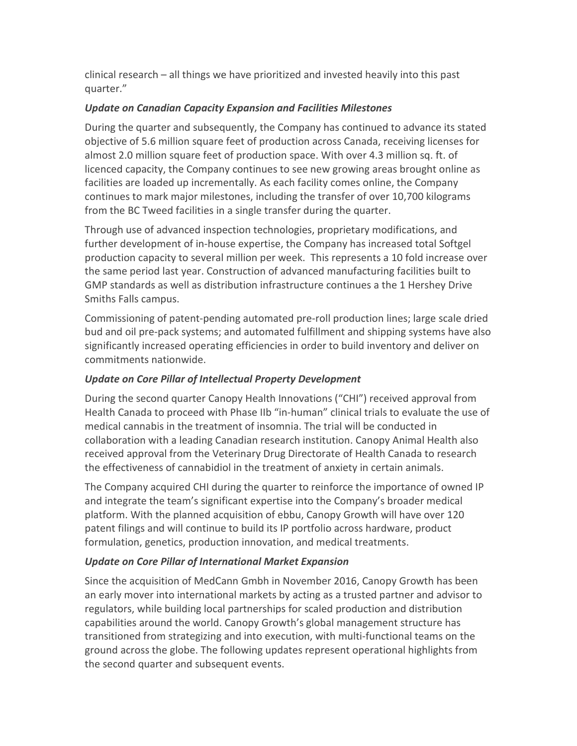clinical research – all things we have prioritized and invested heavily into this past quarter."

### *Update on Canadian Capacity Expansion and Facilities Milestones*

During the quarter and subsequently, the Company has continued to advance its stated objective of 5.6 million square feet of production across Canada, receiving licenses for almost 2.0 million square feet of production space. With over 4.3 million sq. ft. of licenced capacity, the Company continues to see new growing areas brought online as facilities are loaded up incrementally. As each facility comes online, the Company continues to mark major milestones, including the transfer of over 10,700 kilograms from the BC Tweed facilities in a single transfer during the quarter.

Through use of advanced inspection technologies, proprietary modifications, and further development of in-house expertise, the Company has increased total Softgel production capacity to several million per week. This represents a 10 fold increase over the same period last year. Construction of advanced manufacturing facilities built to GMP standards as well as distribution infrastructure continues a the 1 Hershey Drive Smiths Falls campus.

Commissioning of patent-pending automated pre-roll production lines; large scale dried bud and oil pre-pack systems; and automated fulfillment and shipping systems have also significantly increased operating efficiencies in order to build inventory and deliver on commitments nationwide.

## *Update on Core Pillar of Intellectual Property Development*

During the second quarter Canopy Health Innovations ("CHI") received approval from Health Canada to proceed with Phase IIb "in-human" clinical trials to evaluate the use of medical cannabis in the treatment of insomnia. The trial will be conducted in collaboration with a leading Canadian research institution. Canopy Animal Health also received approval from the Veterinary Drug Directorate of Health Canada to research the effectiveness of cannabidiol in the treatment of anxiety in certain animals.

The Company acquired CHI during the quarter to reinforce the importance of owned IP and integrate the team's significant expertise into the Company's broader medical platform. With the planned acquisition of ebbu, Canopy Growth will have over 120 patent filings and will continue to build its IP portfolio across hardware, product formulation, genetics, production innovation, and medical treatments.

## *Update on Core Pillar of International Market Expansion*

Since the acquisition of MedCann Gmbh in November 2016, Canopy Growth has been an early mover into international markets by acting as a trusted partner and advisor to regulators, while building local partnerships for scaled production and distribution capabilities around the world. Canopy Growth's global management structure has transitioned from strategizing and into execution, with multi-functional teams on the ground across the globe. The following updates represent operational highlights from the second quarter and subsequent events.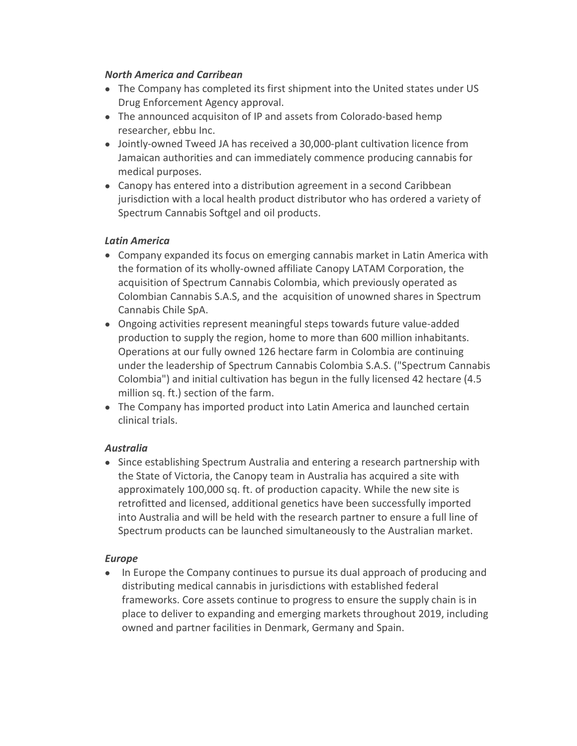#### *North America and Carribean*

- The Company has completed its first shipment into the United states under US Drug Enforcement Agency approval.
- The announced acquisiton of IP and assets from Colorado-based hemp researcher, ebbu Inc.
- Jointly-owned Tweed JA has received a 30,000-plant cultivation licence from Jamaican authorities and can immediately commence producing cannabis for medical purposes.
- Canopy has entered into a distribution agreement in a second Caribbean jurisdiction with a local health product distributor who has ordered a variety of Spectrum Cannabis Softgel and oil products.

### *Latin America*

- Company expanded its focus on emerging cannabis market in Latin America with the formation of its wholly-owned affiliate Canopy LATAM Corporation, the acquisition of Spectrum Cannabis Colombia, which previously operated as Colombian Cannabis S.A.S, and the acquisition of unowned shares in Spectrum Cannabis Chile SpA.
- Ongoing activities represent meaningful steps towards future value-added production to supply the region, home to more than 600 million inhabitants. Operations at our fully owned 126 hectare farm in Colombia are continuing under the leadership of Spectrum Cannabis Colombia S.A.S. ("Spectrum Cannabis Colombia") and initial cultivation has begun in the fully licensed 42 hectare (4.5 million sq. ft.) section of the farm.
- The Company has imported product into Latin America and launched certain clinical trials.

### *Australia*

• Since establishing Spectrum Australia and entering a research partnership with the State of Victoria, the Canopy team in Australia has acquired a site with approximately 100,000 sq. ft. of production capacity. While the new site is retrofitted and licensed, additional genetics have been successfully imported into Australia and will be held with the research partner to ensure a full line of Spectrum products can be launched simultaneously to the Australian market.

### *Europe*

• In Europe the Company continues to pursue its dual approach of producing and distributing medical cannabis in jurisdictions with established federal frameworks. Core assets continue to progress to ensure the supply chain is in place to deliver to expanding and emerging markets throughout 2019, including owned and partner facilities in Denmark, Germany and Spain.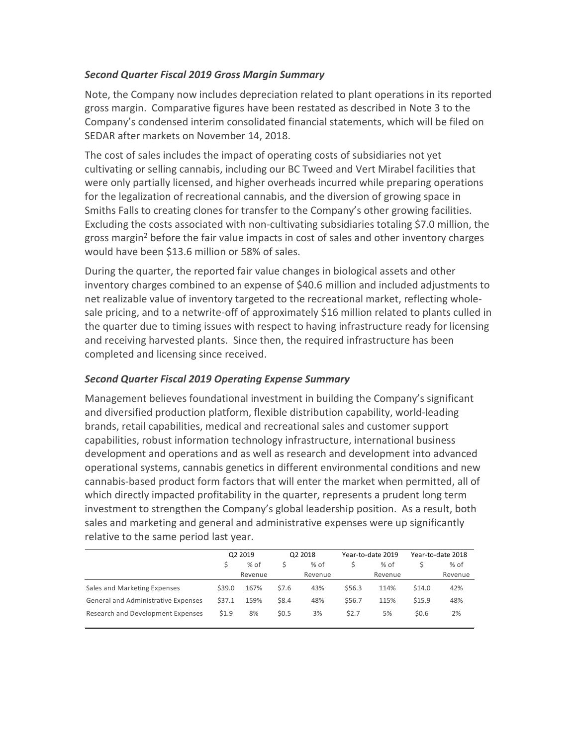#### *Second Quarter Fiscal 2019 Gross Margin Summary*

Note, the Company now includes depreciation related to plant operations in its reported gross margin. Comparative figures have been restated as described in Note 3 to the Company's condensed interim consolidated financial statements, which will be filed on SEDAR after markets on November 14, 2018.

The cost of sales includes the impact of operating costs of subsidiaries not yet cultivating or selling cannabis, including our BC Tweed and Vert Mirabel facilities that were only partially licensed, and higher overheads incurred while preparing operations for the legalization of recreational cannabis, and the diversion of growing space in Smiths Falls to creating clones for transfer to the Company's other growing facilities. Excluding the costs associated with non-cultivating subsidiaries totaling \$7.0 million, the gross margin<sup>2</sup> before the fair value impacts in cost of sales and other inventory charges would have been \$13.6 million or 58% of sales.

During the quarter, the reported fair value changes in biological assets and other inventory charges combined to an expense of \$40.6 million and included adjustments to net realizable value of inventory targeted to the recreational market, reflecting wholesale pricing, and to a netwrite-off of approximately \$16 million related to plants culled in the quarter due to timing issues with respect to having infrastructure ready for licensing and receiving harvested plants. Since then, the required infrastructure has been completed and licensing since received.

#### *Second Quarter Fiscal 2019 Operating Expense Summary*

Management believes foundational investment in building the Company's significant and diversified production platform, flexible distribution capability, world-leading brands, retail capabilities, medical and recreational sales and customer support capabilities, robust information technology infrastructure, international business development and operations and as well as research and development into advanced operational systems, cannabis genetics in different environmental conditions and new cannabis-based product form factors that will enter the market when permitted, all of which directly impacted profitability in the quarter, represents a prudent long term investment to strengthen the Company's global leadership position. As a result, both sales and marketing and general and administrative expenses were up significantly relative to the same period last year.

|                                            |        | Q2 2019 |       | Q2 2018 |        | Year-to-date 2019 | Year-to-date 2018 |         |  |
|--------------------------------------------|--------|---------|-------|---------|--------|-------------------|-------------------|---------|--|
|                                            |        | % of    |       | $%$ of  |        | % of              |                   | % of    |  |
|                                            |        | Revenue |       | Revenue |        | Revenue           |                   | Revenue |  |
| Sales and Marketing Expenses               | \$39.0 | 167%    | \$7.6 | 43%     | \$56.3 | 114%              | \$14.0            | 42%     |  |
| <b>General and Administrative Expenses</b> | \$37.1 | 159%    | \$8.4 | 48%     | \$56.7 | 115%              | \$15.9            | 48%     |  |
| Research and Development Expenses          | \$1.9  | 8%      | \$0.5 | 3%      | \$2.7  | 5%                | \$0.6             | 2%      |  |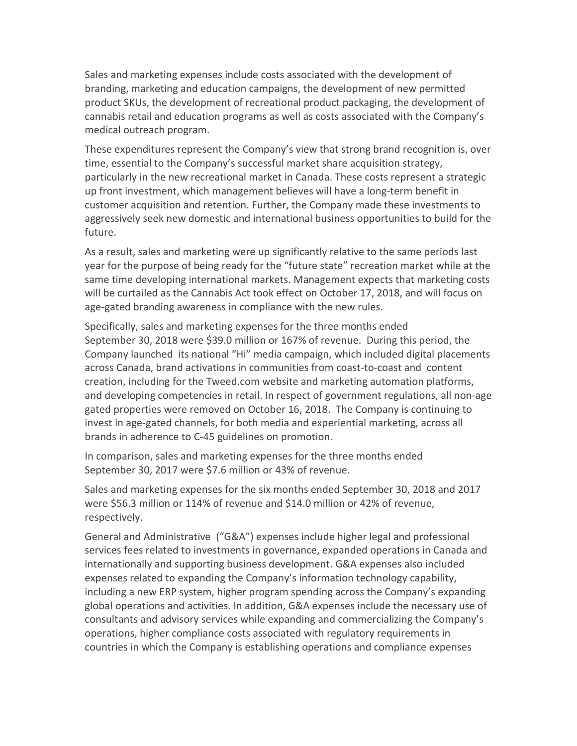Sales and marketing expenses include costs associated with the development of branding, marketing and education campaigns, the development of new permitted product SKUs, the development of recreational product packaging, the development of cannabis retail and education programs as well as costs associated with the Company's medical outreach program.

These expenditures represent the Company's view that strong brand recognition is, over time, essential to the Company's successful market share acquisition strategy, particularly in the new recreational market in Canada. These costs represent a strategic up front investment, which management believes will have a long-term benefit in customer acquisition and retention. Further, the Company made these investments to aggressively seek new domestic and international business opportunities to build for the future.

As a result, sales and marketing were up significantly relative to the same periods last year for the purpose of being ready for the "future state" recreation market while at the same time developing international markets. Management expects that marketing costs will be curtailed as the Cannabis Act took effect on October 17, 2018, and will focus on age-gated branding awareness in compliance with the new rules.

Specifically, sales and marketing expenses for the three months ended September 30, 2018 were \$39.0 million or 167% of revenue. During this period, the Company launched its national "Hi" media campaign, which included digital placements across Canada, brand activations in communities from coast-to-coast and content creation, including for the Tweed.com website and marketing automation platforms, and developing competencies in retail. In respect of government regulations, all non-age gated properties were removed on October 16, 2018. The Company is continuing to invest in age-gated channels, for both media and experiential marketing, across all brands in adherence to C-45 guidelines on promotion.

In comparison, sales and marketing expenses for the three months ended September 30, 2017 were \$7.6 million or 43% of revenue.

Sales and marketing expenses for the six months ended September 30, 2018 and 2017 were \$56.3 million or 114% of revenue and \$14.0 million or 42% of revenue, respectively.

General and Administrative ("G&A") expenses include higher legal and professional services fees related to investments in governance, expanded operations in Canada and internationally and supporting business development. G&A expenses also included expenses related to expanding the Company's information technology capability, including a new ERP system, higher program spending across the Company's expanding global operations and activities. In addition, G&A expenses include the necessary use of consultants and advisory services while expanding and commercializing the Company's operations, higher compliance costs associated with regulatory requirements in countries in which the Company is establishing operations and compliance expenses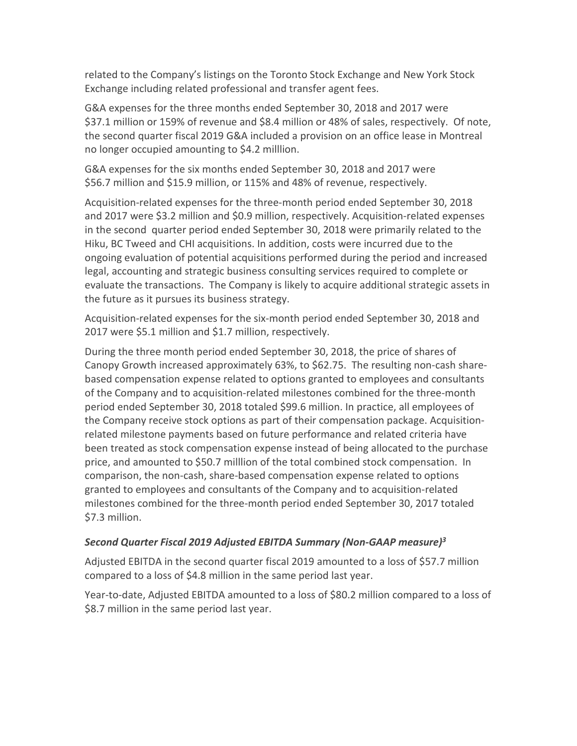related to the Company's listings on the Toronto Stock Exchange and New York Stock Exchange including related professional and transfer agent fees.

G&A expenses for the three months ended September 30, 2018 and 2017 were \$37.1 million or 159% of revenue and \$8.4 million or 48% of sales, respectively. Of note, the second quarter fiscal 2019 G&A included a provision on an office lease in Montreal no longer occupied amounting to \$4.2 milllion.

G&A expenses for the six months ended September 30, 2018 and 2017 were \$56.7 million and \$15.9 million, or 115% and 48% of revenue, respectively.

Acquisition-related expenses for the three-month period ended September 30, 2018 and 2017 were \$3.2 million and \$0.9 million, respectively. Acquisition-related expenses in the second quarter period ended September 30, 2018 were primarily related to the Hiku, BC Tweed and CHI acquisitions. In addition, costs were incurred due to the ongoing evaluation of potential acquisitions performed during the period and increased legal, accounting and strategic business consulting services required to complete or evaluate the transactions. The Company is likely to acquire additional strategic assets in the future as it pursues its business strategy.

Acquisition-related expenses for the six-month period ended September 30, 2018 and 2017 were \$5.1 million and \$1.7 million, respectively.

During the three month period ended September 30, 2018, the price of shares of Canopy Growth increased approximately 63%, to \$62.75. The resulting non-cash sharebased compensation expense related to options granted to employees and consultants of the Company and to acquisition-related milestones combined for the three-month period ended September 30, 2018 totaled \$99.6 million. In practice, all employees of the Company receive stock options as part of their compensation package. Acquisitionrelated milestone payments based on future performance and related criteria have been treated as stock compensation expense instead of being allocated to the purchase price, and amounted to \$50.7 milllion of the total combined stock compensation. In comparison, the non-cash, share-based compensation expense related to options granted to employees and consultants of the Company and to acquisition-related milestones combined for the three-month period ended September 30, 2017 totaled \$7.3 million.

### *Second Quarter Fiscal 2019 Adjusted EBITDA Summary (Non-GAAP measure)3*

Adjusted EBITDA in the second quarter fiscal 2019 amounted to a loss of \$57.7 million compared to a loss of \$4.8 million in the same period last year.

Year-to-date, Adjusted EBITDA amounted to a loss of \$80.2 million compared to a loss of \$8.7 million in the same period last year.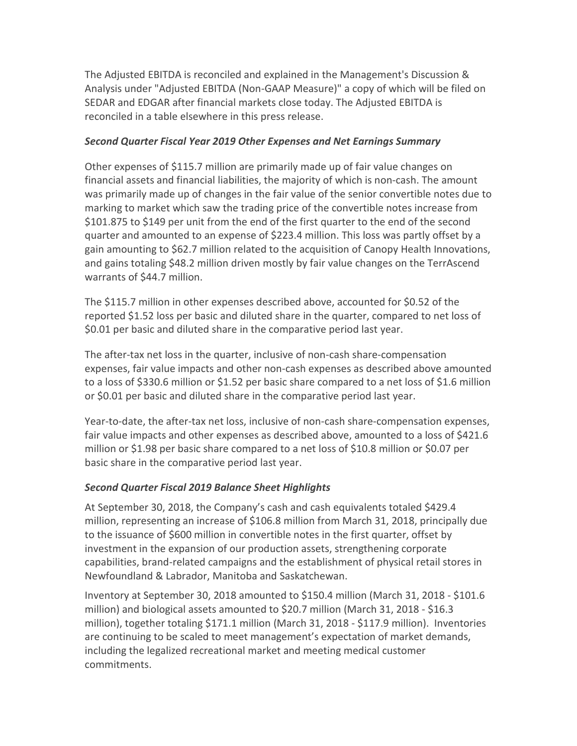The Adjusted EBITDA is reconciled and explained in the Management's Discussion & Analysis under "Adjusted EBITDA (Non-GAAP Measure)" a copy of which will be filed on SEDAR and EDGAR after financial markets close today. The Adjusted EBITDA is reconciled in a table elsewhere in this press release.

#### *Second Quarter Fiscal Year 2019 Other Expenses and Net Earnings Summary*

Other expenses of \$115.7 million are primarily made up of fair value changes on financial assets and financial liabilities, the majority of which is non-cash. The amount was primarily made up of changes in the fair value of the senior convertible notes due to marking to market which saw the trading price of the convertible notes increase from \$101.875 to \$149 per unit from the end of the first quarter to the end of the second quarter and amounted to an expense of \$223.4 million. This loss was partly offset by a gain amounting to \$62.7 million related to the acquisition of Canopy Health Innovations, and gains totaling \$48.2 million driven mostly by fair value changes on the TerrAscend warrants of \$44.7 million.

The \$115.7 million in other expenses described above, accounted for \$0.52 of the reported \$1.52 loss per basic and diluted share in the quarter, compared to net loss of \$0.01 per basic and diluted share in the comparative period last year.

The after-tax net loss in the quarter, inclusive of non-cash share-compensation expenses, fair value impacts and other non-cash expenses as described above amounted to a loss of \$330.6 million or \$1.52 per basic share compared to a net loss of \$1.6 million or \$0.01 per basic and diluted share in the comparative period last year.

Year-to-date, the after-tax net loss, inclusive of non-cash share-compensation expenses, fair value impacts and other expenses as described above, amounted to a loss of \$421.6 million or \$1.98 per basic share compared to a net loss of \$10.8 million or \$0.07 per basic share in the comparative period last year.

### *Second Quarter Fiscal 2019 Balance Sheet Highlights*

At September 30, 2018, the Company's cash and cash equivalents totaled \$429.4 million, representing an increase of \$106.8 million from March 31, 2018, principally due to the issuance of \$600 million in convertible notes in the first quarter, offset by investment in the expansion of our production assets, strengthening corporate capabilities, brand-related campaigns and the establishment of physical retail stores in Newfoundland & Labrador, Manitoba and Saskatchewan.

Inventory at September 30, 2018 amounted to \$150.4 million (March 31, 2018 - \$101.6 million) and biological assets amounted to \$20.7 million (March 31, 2018 - \$16.3 million), together totaling \$171.1 million (March 31, 2018 - \$117.9 million). Inventories are continuing to be scaled to meet management's expectation of market demands, including the legalized recreational market and meeting medical customer commitments.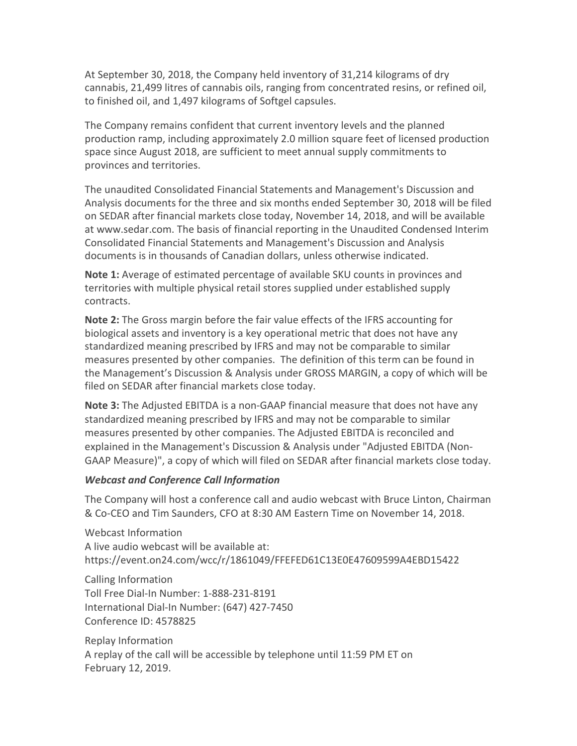At September 30, 2018, the Company held inventory of 31,214 kilograms of dry cannabis, 21,499 litres of cannabis oils, ranging from concentrated resins, or refined oil, to finished oil, and 1,497 kilograms of Softgel capsules.

The Company remains confident that current inventory levels and the planned production ramp, including approximately 2.0 million square feet of licensed production space since August 2018, are sufficient to meet annual supply commitments to provinces and territories.

The unaudited Consolidated Financial Statements and Management's Discussion and Analysis documents for the three and six months ended September 30, 2018 will be filed on SEDAR after financial markets close today, November 14, 2018, and will be available at www.sedar.com. The basis of financial reporting in the Unaudited Condensed Interim Consolidated Financial Statements and Management's Discussion and Analysis documents is in thousands of Canadian dollars, unless otherwise indicated.

**Note 1:** Average of estimated percentage of available SKU counts in provinces and territories with multiple physical retail stores supplied under established supply contracts.

**Note 2:** The Gross margin before the fair value effects of the IFRS accounting for biological assets and inventory is a key operational metric that does not have any standardized meaning prescribed by IFRS and may not be comparable to similar measures presented by other companies. The definition of this term can be found in the Management's Discussion & Analysis under GROSS MARGIN, a copy of which will be filed on SEDAR after financial markets close today.

**Note 3:** The Adjusted EBITDA is a non-GAAP financial measure that does not have any standardized meaning prescribed by IFRS and may not be comparable to similar measures presented by other companies. The Adjusted EBITDA is reconciled and explained in the Management's Discussion & Analysis under "Adjusted EBITDA (Non-GAAP Measure)", a copy of which will filed on SEDAR after financial markets close today.

#### *Webcast and Conference Call Information*

The Company will host a conference call and audio webcast with Bruce Linton, Chairman & Co-CEO and Tim Saunders, CFO at 8:30 AM Eastern Time on November 14, 2018.

Webcast Information A live audio webcast will be available at: https://event.on24.com/wcc/r/1861049/FFEFED61C13E0E47609599A4EBD15422

Calling Information Toll Free Dial-In Number: 1-888-231-8191 International Dial-In Number: (647) 427-7450 Conference ID: 4578825

Replay Information A replay of the call will be accessible by telephone until 11:59 PM ET on February 12, 2019.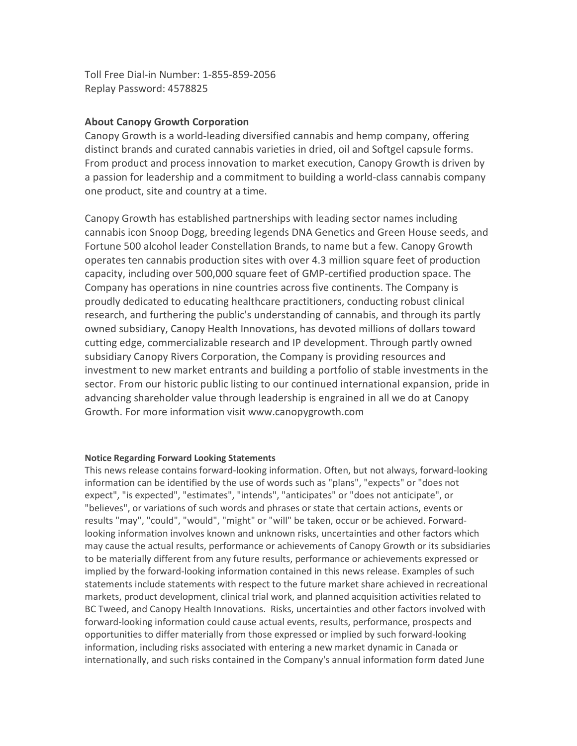Toll Free Dial-in Number: 1-855-859-2056 Replay Password: 4578825

#### **About Canopy Growth Corporation**

Canopy Growth is a world-leading diversified cannabis and hemp company, offering distinct brands and curated cannabis varieties in dried, oil and Softgel capsule forms. From product and process innovation to market execution, Canopy Growth is driven by a passion for leadership and a commitment to building a world-class cannabis company one product, site and country at a time.

Canopy Growth has established partnerships with leading sector names including cannabis icon Snoop Dogg, breeding legends DNA Genetics and Green House seeds, and Fortune 500 alcohol leader Constellation Brands, to name but a few. Canopy Growth operates ten cannabis production sites with over 4.3 million square feet of production capacity, including over 500,000 square feet of GMP-certified production space. The Company has operations in nine countries across five continents. The Company is proudly dedicated to educating healthcare practitioners, conducting robust clinical research, and furthering the public's understanding of cannabis, and through its partly owned subsidiary, Canopy Health Innovations, has devoted millions of dollars toward cutting edge, commercializable research and IP development. Through partly owned subsidiary Canopy Rivers Corporation, the Company is providing resources and investment to new market entrants and building a portfolio of stable investments in the sector. From our historic public listing to our continued international expansion, pride in advancing shareholder value through leadership is engrained in all we do at Canopy Growth. For more information visit www.canopygrowth.com

#### **Notice Regarding Forward Looking Statements**

This news release contains forward-looking information. Often, but not always, forward-looking information can be identified by the use of words such as "plans", "expects" or "does not expect", "is expected", "estimates", "intends", "anticipates" or "does not anticipate", or "believes", or variations of such words and phrases or state that certain actions, events or results "may", "could", "would", "might" or "will" be taken, occur or be achieved. Forwardlooking information involves known and unknown risks, uncertainties and other factors which may cause the actual results, performance or achievements of Canopy Growth or its subsidiaries to be materially different from any future results, performance or achievements expressed or implied by the forward-looking information contained in this news release. Examples of such statements include statements with respect to the future market share achieved in recreational markets, product development, clinical trial work, and planned acquisition activities related to BC Tweed, and Canopy Health Innovations. Risks, uncertainties and other factors involved with forward-looking information could cause actual events, results, performance, prospects and opportunities to differ materially from those expressed or implied by such forward-looking information, including risks associated with entering a new market dynamic in Canada or internationally, and such risks contained in the Company's annual information form dated June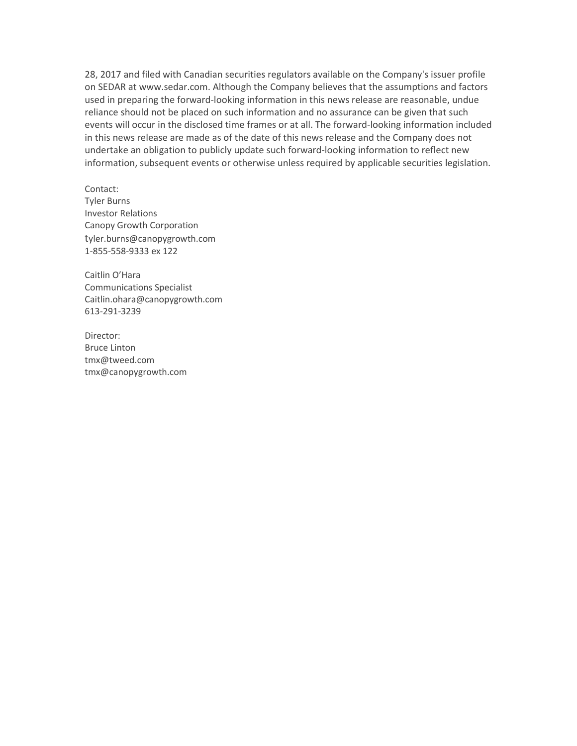28, 2017 and filed with Canadian securities regulators available on the Company's issuer profile on SEDAR at [www.sedar.com.](https://www.sedar.com/) Although the Company believes that the assumptions and factors used in preparing the forward-looking information in this news release are reasonable, undue reliance should not be placed on such information and no assurance can be given that such events will occur in the disclosed time frames or at all. The forward-looking information included in this news release are made as of the date of this news release and the Company does not undertake an obligation to publicly update such forward-looking information to reflect new information, subsequent events or otherwise unless required by applicable securities legislation.

Contact: Tyler Burns Investor Relations Canopy Growth Corporation tyler.burns@canopygrowth.com 1-855-558-9333 ex 122

Caitlin O'Hara Communications Specialist Caitlin.ohara@canopygrowth.com 613-291-3239

Director: Bruce Linton [tmx@tweed.com](mailto:tmx@tweed.com) [tmx@canopygrowth.com](mailto:tmx@canopygrowth.com)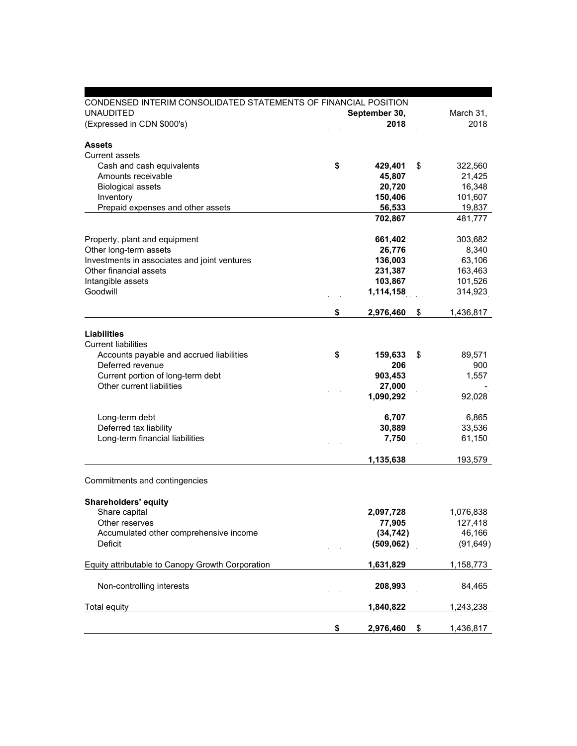| CONDENSED INTERIM CONSOLIDATED STATEMENTS OF FINANCIAL POSITION |    |               |               |           |
|-----------------------------------------------------------------|----|---------------|---------------|-----------|
| <b>UNAUDITED</b>                                                |    | September 30, |               | March 31, |
| (Expressed in CDN \$000's)                                      |    | 2018          |               | 2018      |
| <b>Assets</b>                                                   |    |               |               |           |
| <b>Current assets</b>                                           |    |               |               |           |
| Cash and cash equivalents                                       | \$ | 429,401       | \$            | 322,560   |
| Amounts receivable                                              |    | 45,807        |               | 21,425    |
| <b>Biological assets</b>                                        |    | 20,720        |               | 16,348    |
| Inventory                                                       |    | 150,406       |               | 101,607   |
| Prepaid expenses and other assets                               |    | 56,533        |               | 19,837    |
|                                                                 |    | 702,867       |               | 481,777   |
| Property, plant and equipment                                   |    | 661,402       |               | 303,682   |
| Other long-term assets                                          |    | 26,776        |               | 8,340     |
| Investments in associates and joint ventures                    |    | 136,003       |               | 63,106    |
| Other financial assets                                          |    | 231,387       |               | 163,463   |
| Intangible assets                                               |    | 103,867       |               | 101,526   |
| Goodwill                                                        |    | 1,114,158     |               | 314,923   |
|                                                                 | \$ | 2,976,460     | $\mathfrak s$ | 1,436,817 |
| <b>Liabilities</b>                                              |    |               |               |           |
| <b>Current liabilities</b>                                      |    |               |               |           |
| Accounts payable and accrued liabilities                        | \$ | 159,633       | \$            | 89,571    |
| Deferred revenue                                                |    | 206           |               | 900       |
| Current portion of long-term debt                               |    | 903,453       |               | 1,557     |
| Other current liabilities                                       |    | 27,000        |               |           |
|                                                                 |    | 1,090,292     |               | 92,028    |
| Long-term debt                                                  |    | 6,707         |               | 6,865     |
| Deferred tax liability                                          |    | 30,889        |               | 33,536    |
| Long-term financial liabilities                                 |    | 7,750         |               | 61,150    |
|                                                                 |    | 1,135,638     |               | 193,579   |
|                                                                 |    |               |               |           |
| Commitments and contingencies                                   |    |               |               |           |
| <b>Shareholders' equity</b>                                     |    |               |               |           |
| Share capital                                                   |    | 2,097,728     |               | 1,076,838 |
| Other reserves                                                  |    | 77,905        |               | 127,418   |
| Accumulated other comprehensive income                          |    | (34, 742)     |               | 46,166    |
| Deficit                                                         |    | (509, 062)    |               | (91, 649) |
| Equity attributable to Canopy Growth Corporation                |    | 1,631,829     |               | 1,158,773 |
| Non-controlling interests                                       |    | 208,993       |               | 84,465    |
| Total equity                                                    |    | 1,840,822     |               | 1,243,238 |
|                                                                 |    |               |               |           |
|                                                                 | \$ | 2,976,460     | \$            | 1,436,817 |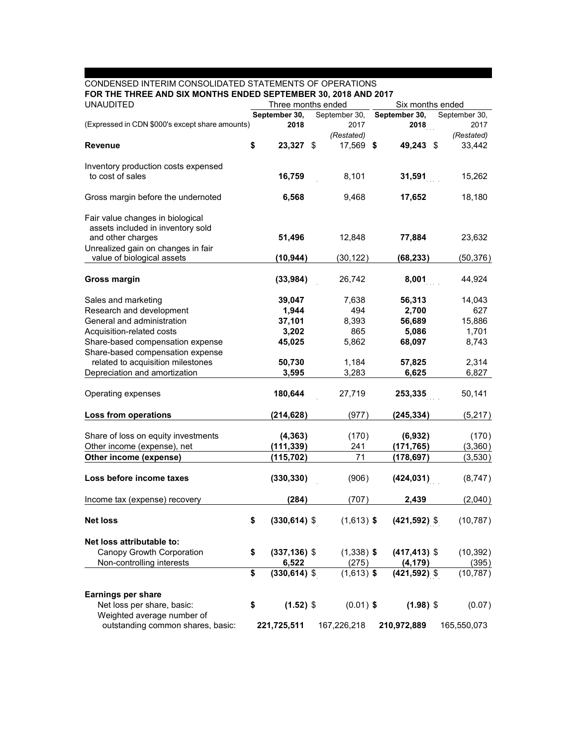#### CONDENSED INTERIM CONSOLIDATED STATEMENTS OF OPERATIONS **FOR THE THREE AND SIX MONTHS ENDED SEPTEMBER 30, 2018 AND 2017**

| <b>UNAUDITED</b>                                                      |                           | Three months ended |               | Six months ended |                 |               |  |  |
|-----------------------------------------------------------------------|---------------------------|--------------------|---------------|------------------|-----------------|---------------|--|--|
|                                                                       |                           | September 30,      | September 30, |                  | September 30,   | September 30, |  |  |
| (Expressed in CDN \$000's except share amounts)                       |                           | 2018               | 2017          |                  | 2018            | 2017          |  |  |
|                                                                       |                           |                    | (Restated)    |                  |                 | (Restated)    |  |  |
| Revenue                                                               | \$                        | 23,327 \$          | 17,569 \$     |                  | 49,243 \$       | 33,442        |  |  |
| Inventory production costs expensed                                   |                           |                    |               |                  |                 |               |  |  |
| to cost of sales                                                      |                           | 16,759             | 8,101         |                  | 31,591          | 15,262        |  |  |
| Gross margin before the undernoted                                    |                           | 6,568              | 9,468         |                  | 17,652          | 18,180        |  |  |
| Fair value changes in biological<br>assets included in inventory sold |                           |                    |               |                  |                 |               |  |  |
| and other charges                                                     |                           | 51,496             | 12,848        |                  | 77,884          | 23,632        |  |  |
| Unrealized gain on changes in fair<br>value of biological assets      |                           | (10, 944)          | (30, 122)     |                  | (68, 233)       | (50, 376)     |  |  |
| <b>Gross margin</b>                                                   |                           | (33, 984)          | 26,742        |                  | 8,001           | 44,924        |  |  |
| Sales and marketing                                                   |                           | 39,047             | 7,638         |                  | 56,313          | 14,043        |  |  |
| Research and development                                              |                           | 1,944              | 494           |                  | 2,700           | 627           |  |  |
| General and administration                                            |                           | 37,101             | 8,393         |                  | 56,689          | 15,886        |  |  |
| Acquisition-related costs                                             |                           | 3,202              | 865           |                  | 5,086           | 1,701         |  |  |
| Share-based compensation expense                                      |                           | 45,025             | 5,862         |                  | 68,097          | 8,743         |  |  |
| Share-based compensation expense                                      |                           |                    |               |                  |                 |               |  |  |
| related to acquisition milestones                                     |                           | 50,730             | 1,184         |                  | 57,825          | 2,314         |  |  |
| Depreciation and amortization                                         |                           | 3,595              | 3,283         |                  | 6,625           | 6,827         |  |  |
| Operating expenses                                                    |                           | 180,644            | 27,719        |                  | 253,335         | 50,141        |  |  |
| Loss from operations                                                  |                           | (214, 628)         | (977)         |                  | (245, 334)      | (5,217)       |  |  |
| Share of loss on equity investments                                   |                           | (4, 363)           | (170)         |                  | (6,932)         | (170)         |  |  |
| Other income (expense), net                                           |                           | (111, 339)         | 241           |                  | (171, 765)      | (3,360)       |  |  |
| Other income (expense)                                                |                           | (115, 702)         | 71            |                  | (178,697)       | (3,530)       |  |  |
| Loss before income taxes                                              |                           | (330, 330)         | (906)         |                  | (424, 031)      | (8,747)       |  |  |
| Income tax (expense) recovery                                         |                           | (284)              | (707)         |                  | 2,439           | (2,040)       |  |  |
| <b>Net loss</b>                                                       | $\boldsymbol{\mathsf{s}}$ | $(330, 614)$ \$    | $(1,613)$ \$  |                  | $(421, 592)$ \$ | (10, 787)     |  |  |
| Net loss attributable to:                                             |                           |                    |               |                  |                 |               |  |  |
| Canopy Growth Corporation                                             | \$                        | $(337, 136)$ \$    | $(1,338)$ \$  |                  | $(417, 413)$ \$ | (10, 392)     |  |  |
| Non-controlling interests                                             |                           | 6,522              | (275)         |                  | (4, 179)        | (395)         |  |  |
|                                                                       | \$                        | $(330, 614)$ \$    | $(1,613)$ \$  |                  | $(421, 592)$ \$ | (10, 787)     |  |  |
| <b>Earnings per share</b>                                             |                           |                    |               |                  |                 |               |  |  |
| Net loss per share, basic:                                            | \$                        | $(1.52)$ \$        | $(0.01)$ \$   |                  | $(1.98)$ \$     | (0.07)        |  |  |
| Weighted average number of                                            |                           |                    |               |                  |                 |               |  |  |
| outstanding common shares, basic:                                     |                           | 221,725,511        | 167,226,218   |                  | 210,972,889     | 165,550,073   |  |  |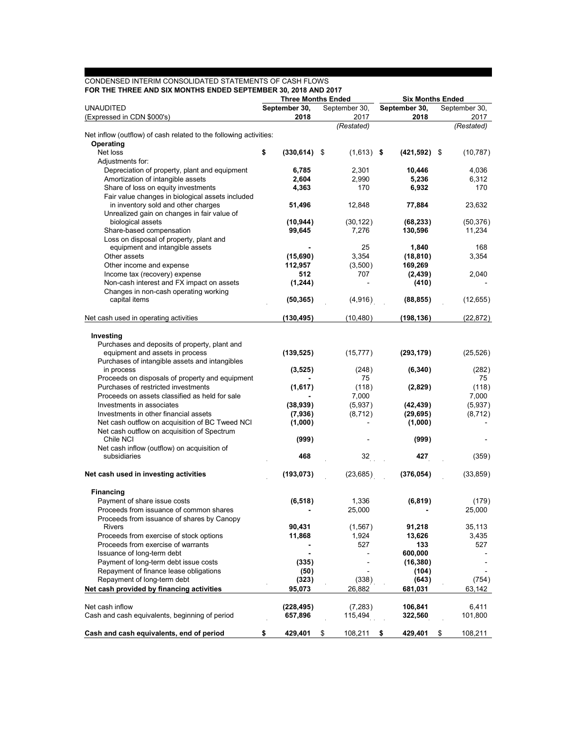#### **CANOPY GROWTH CORPORATION** CONDENSED INTERIM CONSOLIDATED STATEMENTS OF CASH FLOWS **FOR THE THREE AND SIX MONTHS ENDED SEPTEMBER 30, 2018 AND 2017**

|                                                                                                | <b>Three Months Ended</b> |      |               | <b>Six Months Ended</b> |                |    |               |
|------------------------------------------------------------------------------------------------|---------------------------|------|---------------|-------------------------|----------------|----|---------------|
| <b>UNAUDITED</b>                                                                               | September 30,             |      | September 30, |                         | September 30,  |    | September 30, |
| (Expressed in CDN \$000's)                                                                     | 2018                      |      | 2017          |                         | 2018           |    | 2017          |
|                                                                                                |                           |      | (Restated)    |                         |                |    | (Restated)    |
| Net inflow (outflow) of cash related to the following activities:                              |                           |      |               |                         |                |    |               |
| Operating                                                                                      |                           |      |               |                         |                |    |               |
| Net loss                                                                                       | \$<br>(330, 614)          | - \$ | $(1,613)$ \$  |                         | $(421,592)$ \$ |    | (10, 787)     |
| Adjustments for:                                                                               |                           |      |               |                         |                |    |               |
| Depreciation of property, plant and equipment                                                  | 6,785                     |      | 2,301         |                         | 10,446         |    | 4,036         |
| Amortization of intangible assets<br>Share of loss on equity investments                       | 2,604<br>4,363            |      | 2,990<br>170  |                         | 5,236<br>6,932 |    | 6,312<br>170  |
| Fair value changes in biological assets included                                               |                           |      |               |                         |                |    |               |
| in inventory sold and other charges                                                            | 51,496                    |      | 12,848        |                         | 77,884         |    | 23,632        |
| Unrealized gain on changes in fair value of                                                    |                           |      |               |                         |                |    |               |
| biological assets                                                                              | (10, 944)                 |      | (30, 122)     |                         | (68, 233)      |    | (50, 376)     |
| Share-based compensation                                                                       | 99,645                    |      | 7,276         |                         | 130,596        |    | 11,234        |
| Loss on disposal of property, plant and                                                        |                           |      |               |                         |                |    |               |
| equipment and intangible assets                                                                |                           |      | 25            |                         | 1,840          |    | 168           |
| Other assets                                                                                   | (15,690)                  |      | 3,354         |                         | (18, 810)      |    | 3,354         |
| Other income and expense                                                                       | 112,957                   |      | (3,500)       |                         | 169,269        |    |               |
| Income tax (recovery) expense                                                                  | 512                       |      | 707           |                         | (2, 439)       |    | 2,040         |
| Non-cash interest and FX impact on assets                                                      | (1, 244)                  |      |               |                         | (410)          |    |               |
| Changes in non-cash operating working                                                          |                           |      |               |                         |                |    |               |
| capital items                                                                                  | (50, 365)                 |      | (4,916)       |                         | (88, 855)      |    | (12, 655)     |
| Net cash used in operating activities                                                          | (130, 495)                |      | (10, 480)     |                         | (198, 136)     |    | (22, 872)     |
|                                                                                                |                           |      |               |                         |                |    |               |
| Investing                                                                                      |                           |      |               |                         |                |    |               |
| Purchases and deposits of property, plant and                                                  |                           |      |               |                         |                |    |               |
| equipment and assets in process                                                                | (139, 525)                |      | (15, 777)     |                         | (293, 179)     |    | (25, 526)     |
| Purchases of intangible assets and intangibles                                                 |                           |      |               |                         |                |    |               |
| in process                                                                                     | (3, 525)                  |      | (248)         |                         | (6, 340)       |    | (282)         |
| Proceeds on disposals of property and equipment                                                |                           |      | 75            |                         |                |    | 75            |
| Purchases of restricted investments                                                            | (1,617)                   |      | (118)         |                         | (2,829)        |    | (118)         |
| Proceeds on assets classified as held for sale                                                 |                           |      | 7,000         |                         |                |    | 7,000         |
| Investments in associates                                                                      | (38, 939)                 |      | (5,937)       |                         | (42, 439)      |    | (5,937)       |
| Investments in other financial assets                                                          | (7,936)                   |      | (8, 712)      |                         | (29, 695)      |    | (8, 712)      |
| Net cash outflow on acquisition of BC Tweed NCI<br>Net cash outflow on acquisition of Spectrum | (1,000)                   |      |               |                         | (1,000)        |    |               |
| Chile NCI                                                                                      | (999)                     |      |               |                         | (999)          |    |               |
| Net cash inflow (outflow) on acquisition of                                                    |                           |      |               |                         |                |    |               |
| subsidiaries                                                                                   | 468                       |      | 32            |                         | 427            |    | (359)         |
|                                                                                                |                           |      |               |                         |                |    |               |
| Net cash used in investing activities                                                          | (193, 073)                |      | (23, 685)     |                         | (376, 054)     |    | (33, 859)     |
|                                                                                                |                           |      |               |                         |                |    |               |
| <b>Financing</b>                                                                               |                           |      |               |                         |                |    |               |
| Payment of share issue costs                                                                   | (6, 518)                  |      | 1,336         |                         | (6, 819)       |    | (179)         |
| Proceeds from issuance of common shares                                                        |                           |      | 25,000        |                         |                |    | 25,000        |
| Proceeds from issuance of shares by Canopy<br><b>Rivers</b>                                    | 90,431                    |      | (1, 567)      |                         | 91,218         |    | 35,113        |
| Proceeds from exercise of stock options                                                        | 11,868                    |      | 1,924         |                         | 13,626         |    | 3,435         |
| Proceeds from exercise of warrants                                                             |                           |      | 527           |                         | 133            |    | 527           |
| Issuance of long-term debt                                                                     |                           |      |               |                         | 600,000        |    |               |
| Payment of long-term debt issue costs                                                          | (335)                     |      |               |                         | (16, 380)      |    |               |
| Repayment of finance lease obligations                                                         | (50)                      |      |               |                         | (104)          |    |               |
| Repayment of long-term debt                                                                    | (323)                     |      | (338)         |                         | (643)          |    | (754)         |
| Net cash provided by financing activities                                                      | 95,073                    |      | 26,882        |                         | 681,031        |    | 63,142        |
|                                                                                                |                           |      |               |                         |                |    |               |
| Net cash inflow                                                                                | (228, 495)                |      | (7, 283)      |                         | 106,841        |    | 6,411         |
| Cash and cash equivalents, beginning of period                                                 | 657,896                   |      | 115,494       |                         | 322,560        |    | 101,800       |
|                                                                                                |                           |      |               |                         |                |    |               |
| Cash and cash equivalents, end of period                                                       | \$<br>429,401             | \$   | 108,211       | \$                      | 429,401        | \$ | 108,211       |